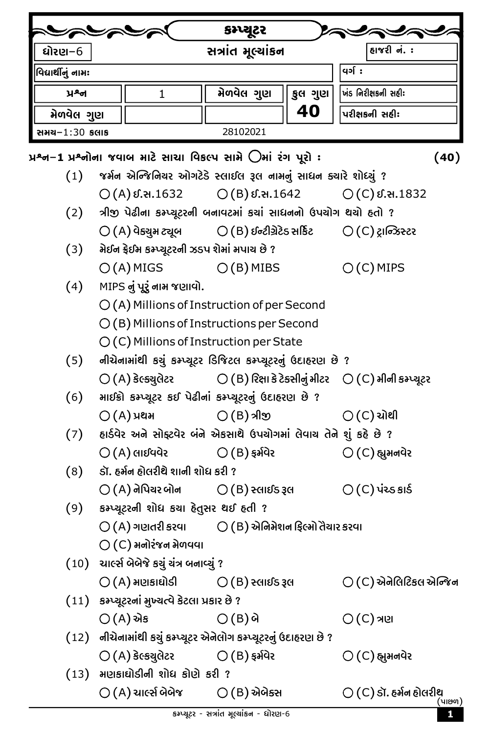|                                                                                                                      |                                                                    |                                               | કમ્પ્યૂટર                                                          |         |                                                                                                   |  |  |
|----------------------------------------------------------------------------------------------------------------------|--------------------------------------------------------------------|-----------------------------------------------|--------------------------------------------------------------------|---------|---------------------------------------------------------------------------------------------------|--|--|
| ધોરણ–6                                                                                                               |                                                                    | સત્રાંત મૂલ્યાંકન                             |                                                                    |         | હાજરી નં. :                                                                                       |  |  |
| વિદ્યાર્થીનું નામઃ                                                                                                   |                                                                    |                                               | <b>q</b> ə[ :                                                      |         |                                                                                                   |  |  |
| ਮੂਡਖ                                                                                                                 |                                                                    | $\mathbf{1}$                                  | મેળવેલ ગુણ                                                         | કુલ ગુણ | ખંડ નિરીક્ષકની સહીઃ                                                                               |  |  |
| મેળવેલ ગુણ                                                                                                           |                                                                    |                                               |                                                                    | 40      | પરીક્ષકની સહીઃ                                                                                    |  |  |
| સ <b>મય−1:30 કલા</b> ક                                                                                               |                                                                    |                                               | 28102021                                                           |         |                                                                                                   |  |  |
| પ્રશ્ન−1 પ્રશ્નોના જવાબ માટે સાચા વિકલ્પ સામે ⊜ેમાં રંગ પૂરો :<br>(40)                                               |                                                                    |                                               |                                                                    |         |                                                                                                   |  |  |
| (1)                                                                                                                  |                                                                    |                                               | જર્મન એન્જિનિચર ઓગટેડે સ્લાઈલ રૂલ નામનું સાધન ક્યારે શોધ્યું ?     |         |                                                                                                   |  |  |
|                                                                                                                      |                                                                    |                                               |                                                                    |         | $O(A)$ $\ell$ . a. 1632 $O(B)$ $\ell$ . a. 1642 $O(C)$ $\ell$ . a. 1832                           |  |  |
| (2)                                                                                                                  |                                                                    |                                               | ત્રીજી પેઢીના કમ્પ્યૂટરની બનાવટમાં કચાં સાધનનો ઉપચોગ થયો હતો ?     |         |                                                                                                   |  |  |
|                                                                                                                      |                                                                    |                                               | $\bigcirc$ (A) વેક્યુમ ટ્યૂબ $\bigcirc$ (B) ઈન્ટીગ્રેટેડ સર્કિટ    |         | $\bigcirc$ (C) ટ્રાન્ઝિસ્ટર                                                                       |  |  |
| (3)                                                                                                                  | મેઈન ફ્રેઈમ કમ્પ્યૂટરની ઝડપ શેમાં મપાચ છે ?                        |                                               |                                                                    |         |                                                                                                   |  |  |
|                                                                                                                      |                                                                    |                                               | $O(A)$ MIGS $O(B)$ MIBS                                            |         | $O(C)$ MIPS                                                                                       |  |  |
| (4)                                                                                                                  |                                                                    | MIPS નું પૂરું નામ જણાવો.                     |                                                                    |         |                                                                                                   |  |  |
|                                                                                                                      |                                                                    |                                               | $\bigcirc$ (A) Millions of Instruction of per Second               |         |                                                                                                   |  |  |
|                                                                                                                      |                                                                    |                                               | $\bigcirc$ (B) Millions of Instructions per Second                 |         |                                                                                                   |  |  |
|                                                                                                                      | $O(C)$ Millions of Instruction per State                           |                                               |                                                                    |         |                                                                                                   |  |  |
| (5)                                                                                                                  |                                                                    |                                               | નીચેનામાંથી કચું કમ્પ્યૂટર ડિજિટલ કમ્પ્યૂટરનું ઉદાહરણ છે ?         |         |                                                                                                   |  |  |
|                                                                                                                      |                                                                    |                                               |                                                                    |         | $\bigcirc$ (A) કેલ્ક્યુલેટર $\bigcirc$ (B) રિક્ષા કે ટેક્સીનું મીટર $\bigcirc$ (C) મીની કમ્પ્યૂટર |  |  |
| માઈક્રો કમ્પ્ચૂટર કઈ પેઢીનાં કમ્પ્ચૂટરનું ઉદાહરણ છે ?<br>(6)                                                         |                                                                    |                                               |                                                                    |         |                                                                                                   |  |  |
|                                                                                                                      |                                                                    | $O(A)$ уен                                    | $\bigcirc$ (B) ୬ା $\mathfrak A$ ଉ                                  |         | $\bigcirc$ (C) ચોથી                                                                               |  |  |
| (7)                                                                                                                  | હાર્ડવેર અને સોફ્ટવેર બંને એકસાથે ઉપચોગમાં લેવાચ તેને શું કહે છે ? |                                               |                                                                    |         |                                                                                                   |  |  |
|                                                                                                                      |                                                                    | $\bigcirc$ (A) લાઈવવેર                        | $\bigcirc$ (B) ફર્મવેર                                             |         | $\bigcirc$ (C) હ્યુમનવેર                                                                          |  |  |
| (8)                                                                                                                  | ડૉ. હર્મન હોલરીથે શાની શોધ કરી ?                                   |                                               |                                                                    |         |                                                                                                   |  |  |
|                                                                                                                      |                                                                    |                                               | $\bigcirc$ (A) નેપિયર બોન $\bigcirc$ (B) સ્લાઈડ રૂલ                |         | $O(C)$ પંચ્ડ કાર્ડ                                                                                |  |  |
| (9) કમ્પ્યૂટરની શોધ કચા દેતુસર થઈ દતી ?                                                                              |                                                                    |                                               |                                                                    |         |                                                                                                   |  |  |
|                                                                                                                      |                                                                    |                                               | $\bigcirc$ (A) ગણતરી કરવા $\bigcirc$ (B) એનિમેશન ફિલ્મો તૈયાર કરવા |         |                                                                                                   |  |  |
|                                                                                                                      |                                                                    | $\bigcirc$ (C) મનોરંજન મેળવવા                 |                                                                    |         |                                                                                                   |  |  |
|                                                                                                                      | (10) ચાર્લ્સ બેબેજે કચું ચંત્ર બનાવ્યું ?                          |                                               |                                                                    |         |                                                                                                   |  |  |
|                                                                                                                      |                                                                    |                                               | $\bigcirc$ (A) મણકાઘોડી $\bigcirc$ (B) સ્લાઈડ રૂલ                  |         | $\bigcirc$ (C) એનેલિટિકલ એન્જિન                                                                   |  |  |
|                                                                                                                      |                                                                    | (11) કમ્પ્યૂટરનાં મુખ્યત્વે કેટલા પ્રકાર છે ? |                                                                    |         |                                                                                                   |  |  |
| $\bigcirc$ (A) એક<br>$\bigcirc$ (B) બે                                                                               |                                                                    |                                               |                                                                    |         | $\bigcirc$ (C) ત્રણ                                                                               |  |  |
| (12) નીચેનામાંથી કચું કમ્પ્યૂટર એનેલોગ કમ્પ્યૂટરનું ઉદાહરણ છે ?<br>$\bigcirc$ (A) કેલ્કયુલેટર $\bigcirc$ (B) ફર્મવેર |                                                                    |                                               |                                                                    |         |                                                                                                   |  |  |
|                                                                                                                      |                                                                    |                                               |                                                                    |         | $\bigcirc$ (C) હ્યુમનવેર                                                                          |  |  |
| $(13)$ મણકાઘોડીની શોધ કોણે કરી ?<br>$\bigcirc$ (A) ચાર્લ્સ બેબેજ $\bigcirc$ (B) એબેક્સ                               |                                                                    |                                               |                                                                    |         |                                                                                                   |  |  |
|                                                                                                                      |                                                                    |                                               |                                                                    |         | $\bigcirc$ (C) ડૉ. હર્મન હોલરીથ<br>(પાછળ)                                                         |  |  |

I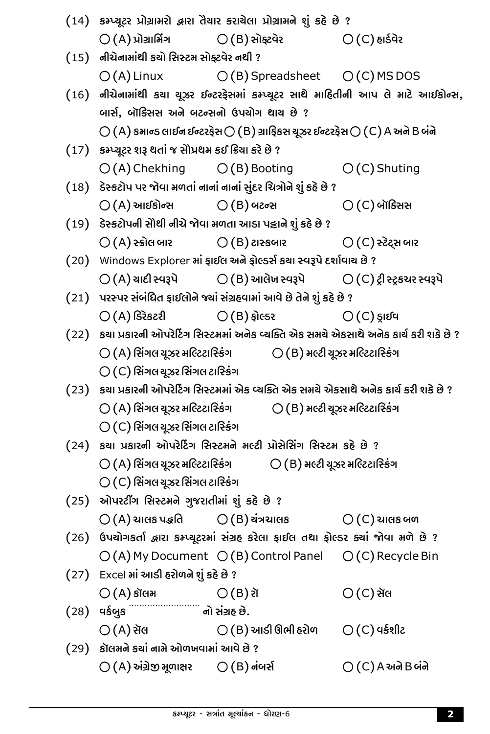|  | (14) કમ્પ્યૂટર પ્રોગ્રામરો દ્વારા તૈયાર કરાયેલા પ્રોગ્રામને શું કહે છે ?                                                                                                                            |                                                                                              |                                                                                   |  |  |  |  |
|--|-----------------------------------------------------------------------------------------------------------------------------------------------------------------------------------------------------|----------------------------------------------------------------------------------------------|-----------------------------------------------------------------------------------|--|--|--|--|
|  |                                                                                                                                                                                                     | $\bigcirc$ (A) પ્રોગ્રાર્મિંગ $\bigcirc$ (B) સોફ્ટવેર $\bigcirc$ (C) હાર્ડવેર                |                                                                                   |  |  |  |  |
|  | (15) નીચેનામાંથી કચો સિસ્ટમ સોફ્ટવેર નથી ?                                                                                                                                                          |                                                                                              |                                                                                   |  |  |  |  |
|  |                                                                                                                                                                                                     | $O(A)$ Linux $O(B)$ Spreadsheet $O(C)$ MS DOS                                                |                                                                                   |  |  |  |  |
|  | (16) નીચેનામાંથી કચા ચૂઝર ઈન્ટરફેસમાં કમ્પ્યૂટર સાથે માહિતીની આપ લે માટે આઈકોન્સ,                                                                                                                   |                                                                                              |                                                                                   |  |  |  |  |
|  | બાર્સ, બૉક્સિસ અને બટન્સનો ઉપયોગ થાય છે ?                                                                                                                                                           |                                                                                              |                                                                                   |  |  |  |  |
|  | $\bigcirc$ (A) કમાન્ડ લાઈન ઈન્ટરફેસ $\bigcirc$ (B) ગ્રાફિકસ ચૂઝર ઈન્ટરફેસ $\bigcirc$ (C) A અને B બંને                                                                                               |                                                                                              |                                                                                   |  |  |  |  |
|  | (17) કમ્પ્યૂટર શરૂ થતાં જ સૌપ્રથમ કઈ ક્રિયા કરે છે ?                                                                                                                                                |                                                                                              |                                                                                   |  |  |  |  |
|  |                                                                                                                                                                                                     | $\bigcirc$ (A) Chekhing $\bigcirc$ (B) Booting $\bigcirc$ (C) Shuting                        |                                                                                   |  |  |  |  |
|  |                                                                                                                                                                                                     | (18) ડેસ્કટોપ પર જોવા મળતાં નાનાં નાનાં સુંદર ચિત્રોને શું કહે છે ?                          |                                                                                   |  |  |  |  |
|  | $\bigcirc$ (A) આઈકોન્સ $\bigcirc$ (B) બટન્સ                                                                                                                                                         |                                                                                              | $\bigcirc$ (C) બૉક્સિસ                                                            |  |  |  |  |
|  | (19) ડેસ્કટોપની સૌથી નીચે જોવા મળતા આડા પટ્ટાને શું કહે છે ?                                                                                                                                        |                                                                                              |                                                                                   |  |  |  |  |
|  |                                                                                                                                                                                                     | $\bigcirc$ (A) રુક્રોલ બાર $\bigcirc$ (B) ટાસ્કબાર $\bigcirc$ (C) રુટેટ્સ બાર                |                                                                                   |  |  |  |  |
|  | (20) Windows Explorer માં ફાઈલ અને ફોલ્ડર્સ કયા સ્વરૂપે દર્શાવાય છે ?                                                                                                                               |                                                                                              |                                                                                   |  |  |  |  |
|  |                                                                                                                                                                                                     | $\bigcirc$ (A) ચાદી સ્વરૂપે $\bigcirc$ (B) આલેખ સ્વરૂપે $\bigcirc$ (C) ટ્રી સ્ટ્રકચર સ્વરૂપે |                                                                                   |  |  |  |  |
|  | (21) પરસ્પર સંબંધિત ફાઈલોને જ્યાં સંગ્રહવામાં આવે છે તેને શું કહે છે ?                                                                                                                              |                                                                                              |                                                                                   |  |  |  |  |
|  |                                                                                                                                                                                                     | $\bigcirc$ (A) ડિરેકટરી $\bigcirc$ (B) ફોલ્ડર $\bigcirc$ (C) ડ્રાઈવ                          |                                                                                   |  |  |  |  |
|  |                                                                                                                                                                                                     | (22) કયા પ્રકારની ઓપરેટિંગ સિસ્ટમમાં અનેક વ્યક્તિ એક સમયે એકસાથે અનેક કાર્ય કરી શકે છે ?     |                                                                                   |  |  |  |  |
|  |                                                                                                                                                                                                     |                                                                                              | $\bigcirc$ (A) સિંગલ ચૂઝર મલ્ટિટાસ્કિંગ $\bigcirc$ ( B ) મલ્ટી ચૂઝર મલ્ટિટાસ્કિંગ |  |  |  |  |
|  | $\bigcirc$ (C) સિંગલ ચૂઝર સિંગલ ટાસ્કિંગ                                                                                                                                                            |                                                                                              |                                                                                   |  |  |  |  |
|  | (23) કયા પ્રકારની ઓપરેટિંગ સિસ્ટમમાં એક વ્યક્તિ એક સમયે એકસાથે અનેક કાર્ય કરી શકે છે ?                                                                                                              |                                                                                              |                                                                                   |  |  |  |  |
|  | $\bigcirc$ (A) સિંગલ ચૂઝર મલ્ટિટાસ્કિંગ                                                                                                                                                             | $\bigcirc$ (B) મલ્ટી ચૂઝર મલ્ટિટાર્સ્કિંગ                                                    |                                                                                   |  |  |  |  |
|  | $\bigcirc$ (C) સિંગલ ચૂઝર સિંગલ ટાસ્કિંગ                                                                                                                                                            |                                                                                              |                                                                                   |  |  |  |  |
|  | (24) કચા પ્રકારની ઓપરેટિંગ સિસ્ટમને મલ્ટી પ્રોસેસિંગ સિસ્ટમ કહે છે ?<br>$\bigcirc$ (A) સિંગલ ચૂઝર મલ્ટિટાસ્કિંગ $\bigcirc$ (B) મલ્ટી ચૂઝર મલ્ટિટાસ્કિંગ<br>$\bigcirc$ (C) સિંગલ ચૂઝર સિંગલ ટાસ્કિંગ |                                                                                              |                                                                                   |  |  |  |  |
|  |                                                                                                                                                                                                     |                                                                                              |                                                                                   |  |  |  |  |
|  |                                                                                                                                                                                                     |                                                                                              |                                                                                   |  |  |  |  |
|  | $(25)$ ઓપરટીંગ સિસ્ટમને ગુજરાતીમાં શું કહે છે?                                                                                                                                                      |                                                                                              |                                                                                   |  |  |  |  |
|  |                                                                                                                                                                                                     | $\bigcirc$ (A) ચાલક પદ્ધતિ $\bigcirc$ (B) ચંત્રચાલક $\bigcirc$ (C) ચાલક બળ                   |                                                                                   |  |  |  |  |
|  |                                                                                                                                                                                                     | (26) ઉપયોગકર્તા બ્રારા કમ્પ્યૂટરમાં સંગ્રહ કરેલા ફાઈલ તથા ફોલ્ડર ક્યાં જોવા મળે છે ?         |                                                                                   |  |  |  |  |
|  |                                                                                                                                                                                                     | $\bigcirc$ (A) My Document $\bigcirc$ (B) Control Panel $\bigcirc$ (C) Recycle Bin           |                                                                                   |  |  |  |  |
|  | (27) Excel માં આડી હરોળને શું કહે છે ?                                                                                                                                                              |                                                                                              |                                                                                   |  |  |  |  |
|  | $\bigcirc$ (A) કૉલમ                                                                                                                                                                                 | $\bigcirc$ (B) रॉ                                                                            | $\bigcirc$ (C) સૅલ                                                                |  |  |  |  |
|  | $(28)$ $4\frac{643}{8}$ $\frac{263}{8}$ $\frac{263}{8}$ $\frac{263}{8}$ $\frac{263}{8}$ $\frac{263}{8}$                                                                                             |                                                                                              |                                                                                   |  |  |  |  |
|  |                                                                                                                                                                                                     | $\bigcirc$ (A) સૅલ $\bigcirc$ (B) આડી ઊભી હરોળ $\bigcirc$ (C) વર્કશીટ                        |                                                                                   |  |  |  |  |
|  | (29) કૉલમને કચાં નામે ઓળખવામાં આવે છે ?                                                                                                                                                             |                                                                                              |                                                                                   |  |  |  |  |
|  | $\bigcirc$ (A) અંગ્રેજી મૂળાક્ષર $\bigcirc$ (B) નંબર્સ                                                                                                                                              |                                                                                              | $\bigcirc$ (C) A અને B બંને                                                       |  |  |  |  |